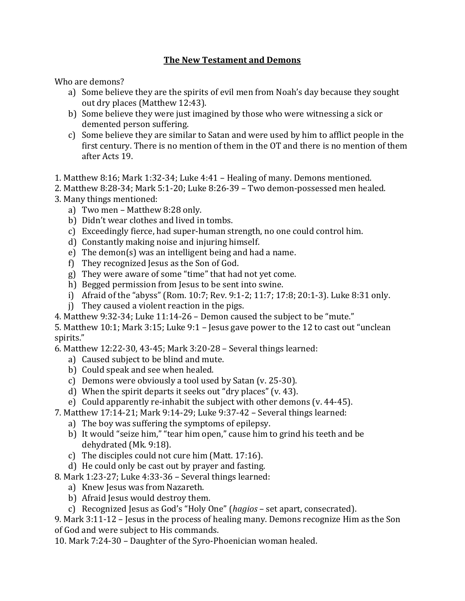## **The New Testament and Demons**

Who are demons?

- a) Some believe they are the spirits of evil men from Noah's day because they sought out dry places (Matthew 12:43).
- b) Some believe they were just imagined by those who were witnessing a sick or demented person suffering.
- c) Some believe they are similar to Satan and were used by him to afflict people in the first century. There is no mention of them in the OT and there is no mention of them after Acts 19.
- 1. Matthew 8:16; Mark 1:32-34; Luke 4:41 Healing of many. Demons mentioned.
- 2. Matthew 8:28-34; Mark 5:1-20; Luke 8:26-39 Two demon-possessed men healed.
- 3. Many things mentioned:
	- a) Two men Matthew 8:28 only.
	- b) Didn't wear clothes and lived in tombs.
	- c) Exceedingly fierce, had super-human strength, no one could control him.
	- d) Constantly making noise and injuring himself.
	- e) The demon(s) was an intelligent being and had a name.
	- f) They recognized Jesus as the Son of God.
	- g) They were aware of some "time" that had not yet come.
	- h) Begged permission from Jesus to be sent into swine.
	- i) Afraid of the "abyss" (Rom. 10:7; Rev. 9:1-2; 11:7; 17:8; 20:1-3). Luke 8:31 only.
	- j) They caused a violent reaction in the pigs.
- 4. Matthew 9:32-34; Luke 11:14-26 Demon caused the subject to be "mute."

5. Matthew 10:1; Mark 3:15; Luke 9:1 – Jesus gave power to the 12 to cast out "unclean spirits."

6. Matthew 12:22-30, 43-45; Mark 3:20-28 – Several things learned:

- a) Caused subject to be blind and mute.
- b) Could speak and see when healed.
- c) Demons were obviously a tool used by Satan (v. 25-30).
- d) When the spirit departs it seeks out "dry places" (v. 43).
- e) Could apparently re-inhabit the subject with other demons (v. 44-45).
- 7. Matthew 17:14-21; Mark 9:14-29; Luke 9:37-42 Several things learned:
	- a) The boy was suffering the symptoms of epilepsy.
	- b) It would "seize him," "tear him open," cause him to grind his teeth and be dehydrated (Mk. 9:18).
	- c) The disciples could not cure him (Matt. 17:16).
	- d) He could only be cast out by prayer and fasting.
- 8. Mark 1:23-27; Luke 4:33-36 Several things learned:
	- a) Knew Jesus was from Nazareth.
	- b) Afraid Jesus would destroy them.
	- c) Recognized Jesus as God's "Holy One" (*hagios* set apart, consecrated).

9. Mark 3:11-12 – Jesus in the process of healing many. Demons recognize Him as the Son of God and were subject to His commands.

10. Mark 7:24-30 – Daughter of the Syro-Phoenician woman healed.